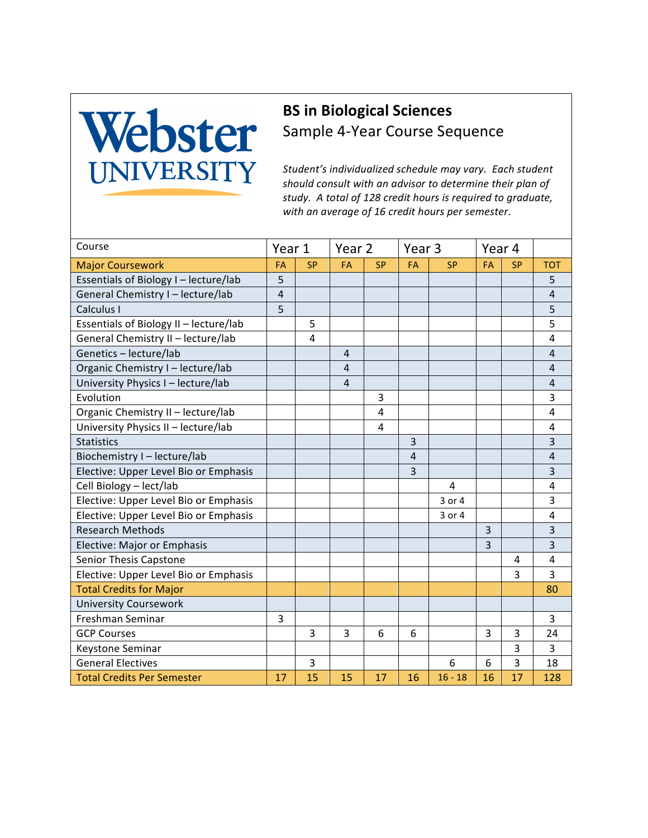## Webster

## **BS** in Biological Sciences Sample 4-Year Course Sequence

Student's individualized schedule may vary. Each student should consult with an advisor to determine their plan of study. A total of 128 credit hours is required to graduate, with an average of 16 credit hours per semester.

| Course                                 | Year 1         |           | Year 2 |           | Year <sub>3</sub> |           | Year 4 |                |                |
|----------------------------------------|----------------|-----------|--------|-----------|-------------------|-----------|--------|----------------|----------------|
| <b>Major Coursework</b>                | FA             | <b>SP</b> | FA     | <b>SP</b> | FA                | <b>SP</b> | FA     | <b>SP</b>      | <b>TOT</b>     |
| Essentials of Biology I - lecture/lab  | 5              |           |        |           |                   |           |        |                | 5              |
| General Chemistry I - lecture/lab      | $\overline{4}$ |           |        |           |                   |           |        |                | $\overline{4}$ |
| Calculus I                             | 5              |           |        |           |                   |           |        |                | 5              |
| Essentials of Biology II - lecture/lab |                | 5         |        |           |                   |           |        |                | 5              |
| General Chemistry II - lecture/lab     |                | 4         |        |           |                   |           |        |                | $\overline{4}$ |
| Genetics - lecture/lab                 |                |           | 4      |           |                   |           |        |                | $\overline{4}$ |
| Organic Chemistry I - lecture/lab      |                |           | 4      |           |                   |           |        |                | $\overline{4}$ |
| University Physics I - lecture/lab     |                |           | 4      |           |                   |           |        |                | $\sqrt{4}$     |
| Evolution                              |                |           |        | 3         |                   |           |        |                | 3              |
| Organic Chemistry II - lecture/lab     |                |           |        | 4         |                   |           |        |                | $\overline{4}$ |
| University Physics II - lecture/lab    |                |           |        | 4         |                   |           |        |                | $\overline{4}$ |
| <b>Statistics</b>                      |                |           |        |           | 3                 |           |        |                | $\overline{3}$ |
| Biochemistry I-lecture/lab             |                |           |        |           | $\overline{4}$    |           |        |                | $\overline{4}$ |
| Elective: Upper Level Bio or Emphasis  |                |           |        |           | 3                 |           |        |                | 3              |
| Cell Biology - lect/lab                |                |           |        |           |                   | 4         |        |                | 4              |
| Elective: Upper Level Bio or Emphasis  |                |           |        |           |                   | 3 or 4    |        |                | 3              |
| Elective: Upper Level Bio or Emphasis  |                |           |        |           |                   | 3 or 4    |        |                | $\overline{4}$ |
| <b>Research Methods</b>                |                |           |        |           |                   |           | 3      |                | 3              |
| Elective: Major or Emphasis            |                |           |        |           |                   |           | 3      |                | 3              |
| Senior Thesis Capstone                 |                |           |        |           |                   |           |        | 4              | 4              |
| Elective: Upper Level Bio or Emphasis  |                |           |        |           |                   |           |        | 3              | 3              |
| <b>Total Credits for Major</b>         |                |           |        |           |                   |           |        |                | 80             |
| <b>University Coursework</b>           |                |           |        |           |                   |           |        |                |                |
| Freshman Seminar                       | 3              |           |        |           |                   |           |        |                | 3              |
| <b>GCP Courses</b>                     |                | 3         | 3      | 6         | 6                 |           | 3      | 3              | 24             |
| Keystone Seminar                       |                |           |        |           |                   |           |        | 3              | 3              |
| <b>General Electives</b>               |                | 3         |        |           |                   | 6         | 6      | $\overline{3}$ | 18             |
| <b>Total Credits Per Semester</b>      | 17             | 15        | 15     | 17        | 16                | $16 - 18$ | 16     | 17             | 128            |